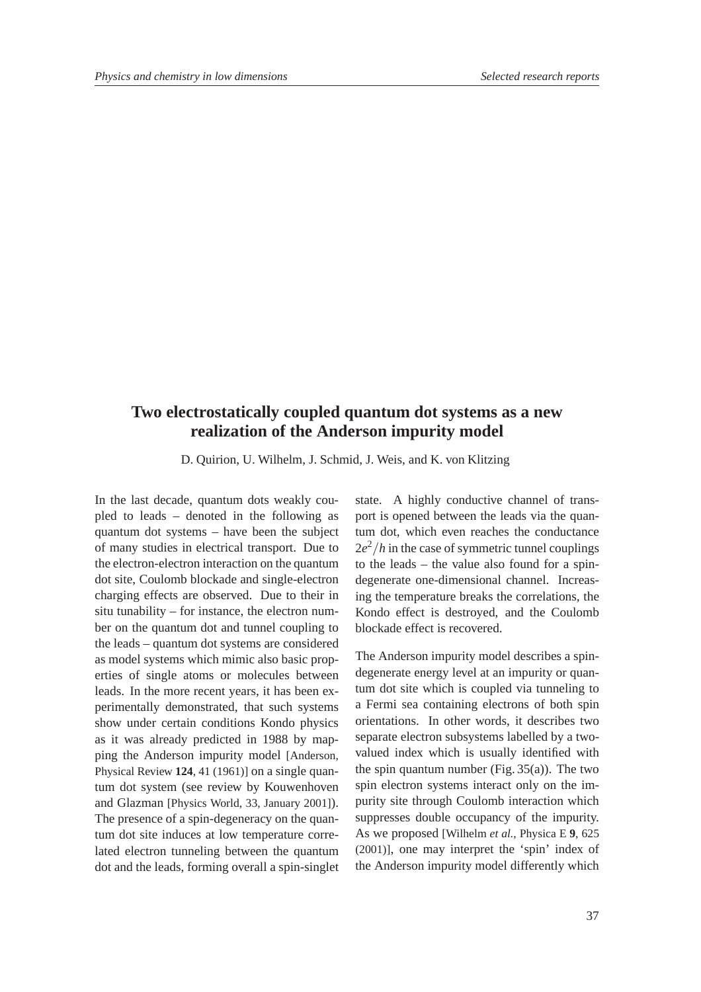## **Two electrostatically coupled quantum dot systems as a new realization of the Anderson impurity model**

D. Quirion, U. Wilhelm, J. Schmid, J. Weis, and K. von Klitzing

In the last decade, quantum dots weakly coupled to leads – denoted in the following as quantum dot systems – have been the subject of many studies in electrical transport. Due to the electron-electron interaction on the quantum dot site, Coulomb blockade and single-electron charging effects are observed. Due to their in situ tunability – for instance, the electron number on the quantum dot and tunnel coupling to the leads – quantum dot systems are considered as model systems which mimic also basic properties of single atoms or molecules between leads. In the more recent years, it has been experimentally demonstrated, that such systems show under certain conditions Kondo physics as it was already predicted in 1988 by mapping the Anderson impurity model [Anderson, Physical Review **124**, 41 (1961)] on a single quantum dot system (see review by Kouwenhoven and Glazman [Physics World, 33, January 2001]). The presence of a spin-degeneracy on the quantum dot site induces at low temperature correlated electron tunneling between the quantum dot and the leads, forming overall a spin-singlet

state. A highly conductive channel of transport is opened between the leads via the quantum dot, which even reaches the conductance  $2e^{2}/h$  in the case of symmetric tunnel couplings to the leads – the value also found for a spindegenerate one-dimensional channel. Increasing the temperature breaks the correlations, the Kondo effect is destroyed, and the Coulomb blockade effect is recovered.

The Anderson impurity model describes a spindegenerate energy level at an impurity or quantum dot site which is coupled via tunneling to a Fermi sea containing electrons of both spin orientations. In other words, it describes two separate electron subsystems labelled by a twovalued index which is usually identified with the spin quantum number (Fig.  $35(a)$ ). The two spin electron systems interact only on the impurity site through Coulomb interaction which suppresses double occupancy of the impurity. As we proposed [Wilhelm *et al.*, Physica E **9**, 625 (2001)], one may interpret the 'spin' index of the Anderson impurity model differently which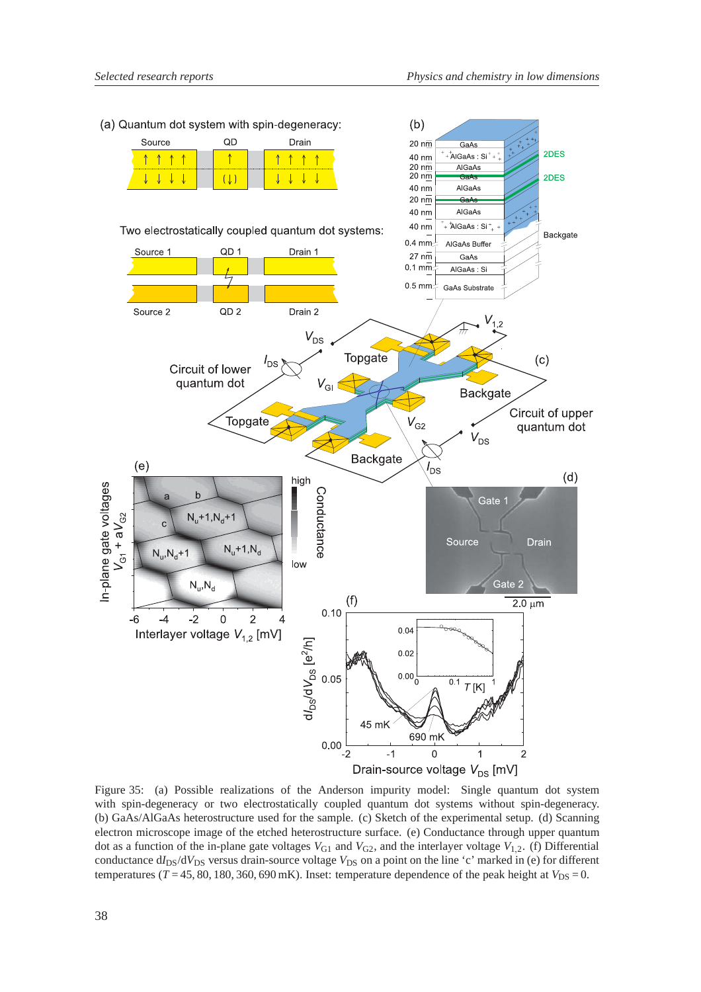

Figure 35: (a) Possible realizations of the Anderson impurity model: Single quantum dot system with spin-degeneracy or two electrostatically coupled quantum dot systems without spin-degeneracy. (b) GaAs/AlGaAs heterostructure used for the sample. (c) Sketch of the experimental setup. (d) Scanning electron microscope image of the etched heterostructure surface. (e) Conductance through upper quantum dot as a function of the in-plane gate voltages  $V_{G1}$  and  $V_{G2}$ , and the interlayer voltage  $V_{1,2}$ . (f) Differential conductance d*I*<sub>DS</sub>/d*V*<sub>DS</sub> versus drain-source voltage *V*<sub>DS</sub> on a point on the line 'c' marked in (e) for different temperatures ( $T = 45, 80, 180, 360, 690$  mK). Inset: temperature dependence of the peak height at  $V_{DS} = 0$ .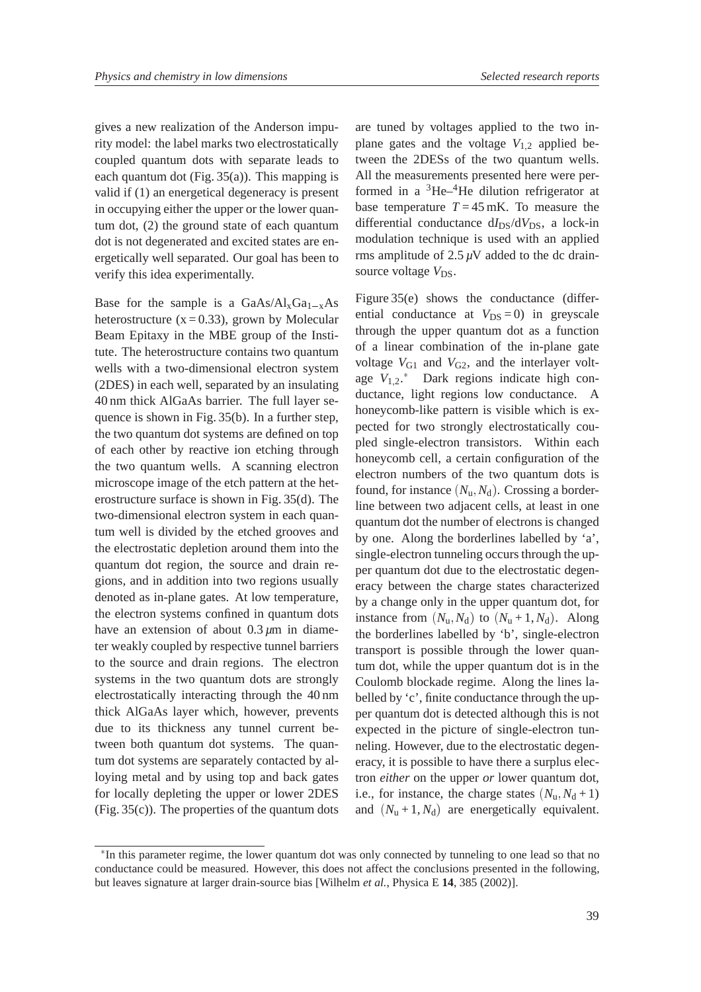gives a new realization of the Anderson impurity model: the label marks two electrostatically coupled quantum dots with separate leads to each quantum dot (Fig. 35(a)). This mapping is valid if (1) an energetical degeneracy is present in occupying either the upper or the lower quantum dot, (2) the ground state of each quantum dot is not degenerated and excited states are energetically well separated. Our goal has been to verify this idea experimentally.

Base for the sample is a  $GaAs/Al_xGa_{1-x}As$ heterostructure  $(x = 0.33)$ , grown by Molecular Beam Epitaxy in the MBE group of the Institute. The heterostructure contains two quantum wells with a two-dimensional electron system (2DES) in each well, separated by an insulating 40 nm thick AlGaAs barrier. The full layer sequence is shown in Fig. 35(b). In a further step, the two quantum dot systems are defined on top of each other by reactive ion etching through the two quantum wells. A scanning electron microscope image of the etch pattern at the heterostructure surface is shown in Fig. 35(d). The two-dimensional electron system in each quantum well is divided by the etched grooves and the electrostatic depletion around them into the quantum dot region, the source and drain regions, and in addition into two regions usually denoted as in-plane gates. At low temperature, the electron systems confined in quantum dots have an extension of about  $0.3 \mu m$  in diameter weakly coupled by respective tunnel barriers to the source and drain regions. The electron systems in the two quantum dots are strongly electrostatically interacting through the 40 nm thick AlGaAs layer which, however, prevents due to its thickness any tunnel current between both quantum dot systems. The quantum dot systems are separately contacted by alloying metal and by using top and back gates for locally depleting the upper or lower 2DES (Fig. 35(c)). The properties of the quantum dots

are tuned by voltages applied to the two inplane gates and the voltage  $V_{1,2}$  applied between the 2DESs of the two quantum wells. All the measurements presented here were performed in a  ${}^{3}$ He– ${}^{4}$ He dilution refrigerator at base temperature  $T = 45$  mK. To measure the differential conductance d*I*<sub>DS</sub>/d*V*<sub>DS</sub>, a lock-in modulation technique is used with an applied rms amplitude of  $2.5 \mu V$  added to the dc drainsource voltage  $V_{DS}$ .

Figure 35(e) shows the conductance (differential conductance at  $V_{DS} = 0$ ) in greyscale through the upper quantum dot as a function of a linear combination of the in-plane gate voltage  $V_{G1}$  and  $V_{G2}$ , and the interlayer voltage  $V_{1,2}$ .<sup>\*</sup> Dark regions indicate high conductance, light regions low conductance. A honeycomb-like pattern is visible which is expected for two strongly electrostatically coupled single-electron transistors. Within each honeycomb cell, a certain configuration of the electron numbers of the two quantum dots is found, for instance  $(N_u, N_d)$ . Crossing a borderline between two adjacent cells, at least in one quantum dot the number of electrons is changed by one. Along the borderlines labelled by 'a', single-electron tunneling occurs through the upper quantum dot due to the electrostatic degeneracy between the charge states characterized by a change only in the upper quantum dot, for instance from  $(N_u, N_d)$  to  $(N_u + 1, N_d)$ . Along the borderlines labelled by 'b', single-electron transport is possible through the lower quantum dot, while the upper quantum dot is in the Coulomb blockade regime. Along the lines labelled by 'c', finite conductance through the upper quantum dot is detected although this is not expected in the picture of single-electron tunneling. However, due to the electrostatic degeneracy, it is possible to have there a surplus electron *either* on the upper *or* lower quantum dot, i.e., for instance, the charge states  $(N_u, N_d + 1)$ and  $(N_u + 1, N_d)$  are energetically equivalent.

<sup>-</sup> In this parameter regime, the lower quantum dot was only connected by tunneling to one lead so that no conductance could be measured. However, this does not affect the conclusions presented in the following, but leaves signature at larger drain-source bias [Wilhelm *et al.*, Physica E **14**, 385 (2002)].